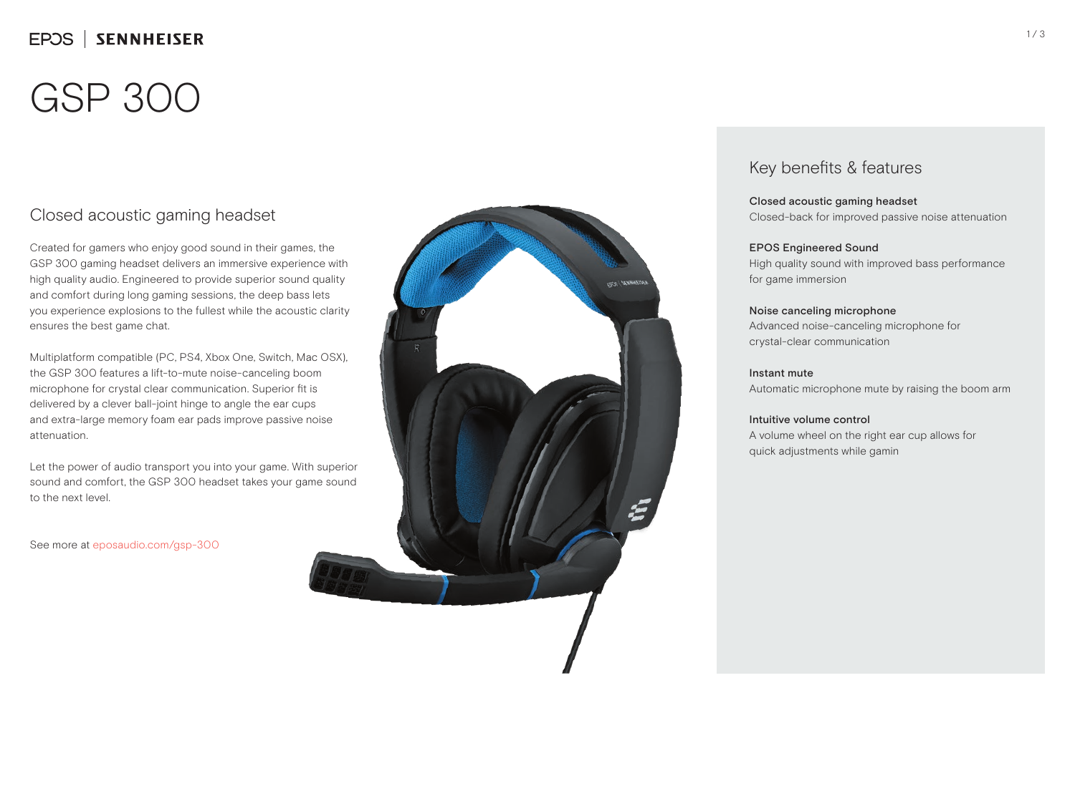## EPOS | SENNHEISER

# GSP 300

### Closed acoustic gaming headset

Created for gamers who enjoy good sound in their games, the GSP 300 gaming headset delivers an immersive experience with high quality audio. Engineered to provide superior sound quality and comfort during long gaming sessions, the deep bass lets you experience explosions to the fullest while the acoustic clarity ensures the best game chat.

Multiplatform compatible (PC, PS4, Xbox One, Switch, Mac OSX), the GSP 300 features a lift-to-mute noise-canceling boom microphone for crystal clear communication. Superior fit is delivered by a clever ball-joint hinge to angle the ear cups and extra-large memory foam ear pads improve passive noise attenuation.

Let the power of audio transport you into your game. With superior sound and comfort, the GSP 300 headset takes your game sound to the next level.

See more at eposaudio.com/gsp-300



### Key benefits & features

Closed acoustic gaming headset Closed-back for improved passive noise attenuation

### EPOS Engineered Sound

High quality sound with improved bass performance for game immersion

#### Noise canceling microphone

Advanced noise-canceling microphone for crystal-clear communication

### Instant mute

Automatic microphone mute by raising the boom arm

### Intuitive volume control

A volume wheel on the right ear cup allows for quick adjustments while gamin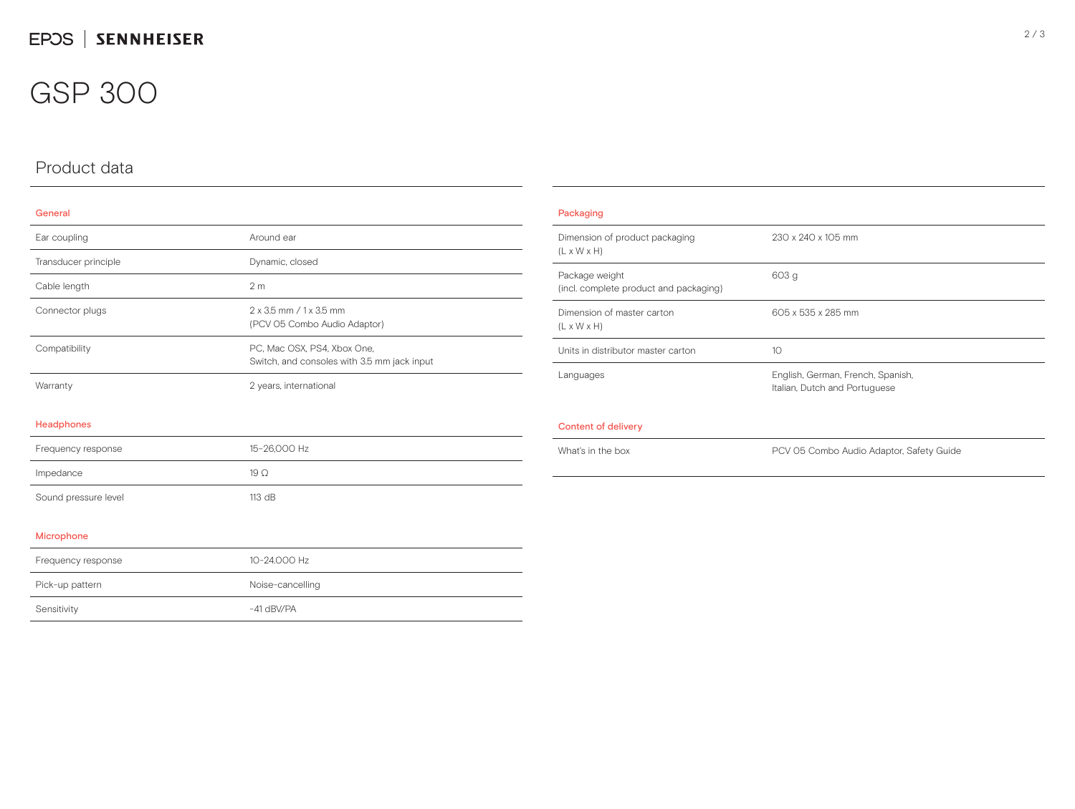## GSP 300

## Product data

### General

| Ear coupling         | Around ear                                                                 |
|----------------------|----------------------------------------------------------------------------|
| Transducer principle | Dynamic, closed                                                            |
| Cable length         | 2 <sub>m</sub>                                                             |
| Connector plugs      | 2 x 3.5 mm / 1 x 3.5 mm<br>(PCV 05 Combo Audio Adaptor)                    |
| Compatibility        | PC, Mac OSX, PS4, Xbox One,<br>Switch, and consoles with 3.5 mm jack input |
| Warranty             | 2 years, international                                                     |
| Headphones           |                                                                            |
| Frequency response   | 15-26,000 Hz                                                               |
| Impedance            | $19\Omega$                                                                 |
| Sound pressure level | 113 dB                                                                     |

#### Microphone

| Frequency response | 10-24.000 Hz     |
|--------------------|------------------|
| Pick-up pattern    | Noise-cancelling |
| Sensitivity        | $-41$ dBV/PA     |

| Packaging                                                 |                                                                    |
|-----------------------------------------------------------|--------------------------------------------------------------------|
| Dimension of product packaging<br>$(L \times W \times H)$ | 230 x 240 x 105 mm                                                 |
| Package weight<br>(incl. complete product and packaging)  | 603 g                                                              |
| Dimension of master carton<br>$(L \times W \times H)$     | 605 x 535 x 285 mm                                                 |
| Units in distributor master carton                        | 10                                                                 |
| Languages                                                 | English, German, French, Spanish,<br>Italian, Dutch and Portuguese |
| Content of delivery                                       |                                                                    |
| What's in the box                                         | PCV 05 Combo Audio Adaptor, Safety Guide                           |